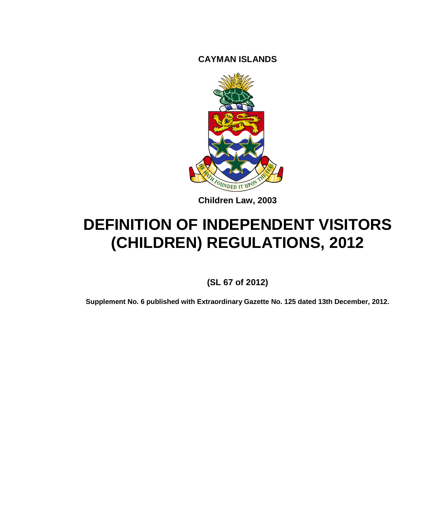**CAYMAN ISLANDS**



**Children Law, 2003**

# **DEFINITION OF INDEPENDENT VISITORS (CHILDREN) REGULATIONS, 2012**

**(SL 67 of 2012)**

**Supplement No. 6 published with Extraordinary Gazette No. 125 dated 13th December, 2012.**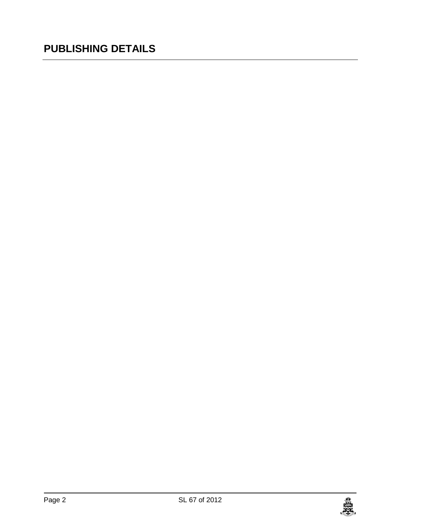## **PUBLISHING DETAILS**

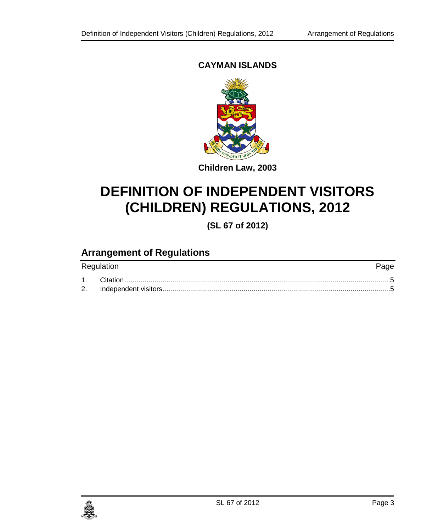### **CAYMAN ISLANDS**



**Children Law, 2003**

## **DEFINITION OF INDEPENDENT VISITORS (CHILDREN) REGULATIONS, 2012**

**(SL 67 of 2012)**

## **Arrangement of Regulations**

| Regulation | Page |
|------------|------|
|            |      |
|            |      |

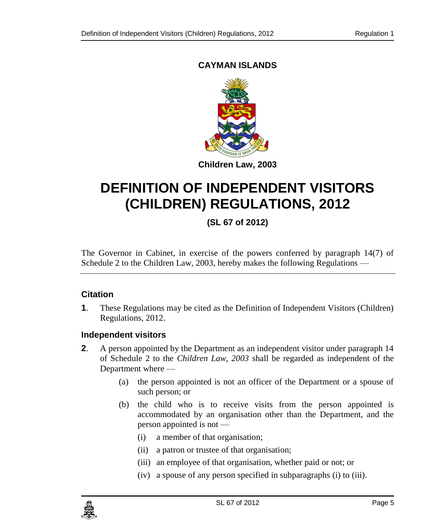### **CAYMAN ISLANDS**



## <span id="page-4-1"></span>**DEFINITION OF INDEPENDENT VISITORS (CHILDREN) REGULATIONS, 2012**

### **(SL 67 of 2012)**

The Governor in Cabinet, in exercise of the powers conferred by paragraph 14(7) of Schedule 2 to the Children Law, 2003, hereby makes the following Regulations —

#### <span id="page-4-0"></span>**1. Citation**

**1**. These Regulations may be cited as the Definition of Independent Visitors (Children) Regulations, 2012.

#### **2. Independent visitors**

- **2.** A person appointed by the Department as an independent visitor under paragraph 14 of Schedule 2 to the *Children Law, 2003* shall be regarded as independent of the Department where —
	- (a) the person appointed is not an officer of the Department or a spouse of such person; or
	- (b) the child who is to receive visits from the person appointed is accommodated by an organisation other than the Department, and the person appointed is not —
		- (i) a member of that organisation;
		- (ii) a patron or trustee of that organisation;
		- (iii) an employee of that organisation, whether paid or not; or
		- (iv) a spouse of any person specified in subparagraphs (i) to (iii).